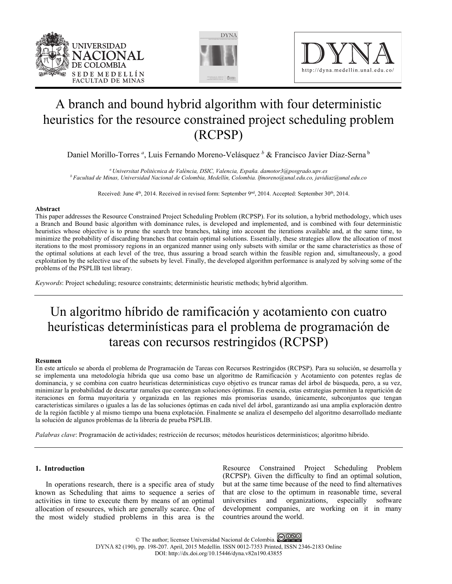





# A branch and bound hybrid algorithm with four deterministic heuristics for the resource constrained project scheduling problem (RCPSP)

Daniel Morillo-Torres *<sup>a</sup>* , Luis Fernando Moreno-Velásquez *<sup>b</sup>* & Francisco Javier Díaz-Serna b

*a Universitat Politècnica de València, DSIC, Valencia, España. damotor3@posgrado.upv.es b Facultad de Minas, Universidad Nacional de Colombia, Medellín, Colombia. lfmoreno@unal.edu.co, javidiaz@unal.edu.co* 

Received: June 4<sup>th</sup>, 2014. Received in revised form: September 9<sup>nd</sup>, 2014. Accepted: September 30<sup>th</sup>, 2014.

# **Abstract**

This paper addresses the Resource Constrained Project Scheduling Problem (RCPSP). For its solution, a hybrid methodology, which uses a Branch and Bound basic algorithm with dominance rules, is developed and implemented, and is combined with four deterministic heuristics whose objective is to prune the search tree branches, taking into account the iterations available and, at the same time, to minimize the probability of discarding branches that contain optimal solutions. Essentially, these strategies allow the allocation of most iterations to the most promissory regions in an organized manner using only subsets with similar or the same characteristics as those of the optimal solutions at each level of the tree, thus assuring a broad search within the feasible region and, simultaneously, a good exploitation by the selective use of the subsets by level. Finally, the developed algorithm performance is analyzed by solving some of the problems of the PSPLIB test library.

*Keywords*: Project scheduling; resource constraints; deterministic heuristic methods; hybrid algorithm.

# Un algoritmo híbrido de ramificación y acotamiento con cuatro heurísticas determinísticas para el problema de programación de tareas con recursos restringidos (RCPSP)

### **Resumen**

En este artículo se aborda el problema de Programación de Tareas con Recursos Restringidos (RCPSP). Para su solución, se desarrolla y se implementa una metodología híbrida que usa como base un algoritmo de Ramificación y Acotamiento con potentes reglas de dominancia, y se combina con cuatro heurísticas determinísticas cuyo objetivo es truncar ramas del árbol de búsqueda, pero, a su vez, minimizar la probabilidad de descartar ramales que contengan soluciones óptimas. En esencia, estas estrategias permiten la repartición de iteraciones en forma mayoritaria y organizada en las regiones más promisorias usando, únicamente, subconjuntos que tengan características similares o iguales a las de las soluciones óptimas en cada nivel del árbol, garantizando así una amplia exploración dentro de la región factible y al mismo tiempo una buena explotación. Finalmente se analiza el desempeño del algoritmo desarrollado mediante la solución de algunos problemas de la librería de prueba PSPLIB.

*Palabras clave*: Programación de actividades; restricción de recursos; métodos heurísticos determinísticos; algoritmo híbrido.

# **1. Introduction**

In operations research, there is a specific area of study known as Scheduling that aims to sequence a series of activities in time to execute them by means of an optimal allocation of resources, which are generally scarce. One of the most widely studied problems in this area is the

Resource Constrained Project Scheduling Problem (RCPSP). Given the difficulty to find an optimal solution, but at the same time because of the need to find alternatives that are close to the optimum in reasonable time, several universities and organizations, especially software development companies, are working on it in many countries around the world.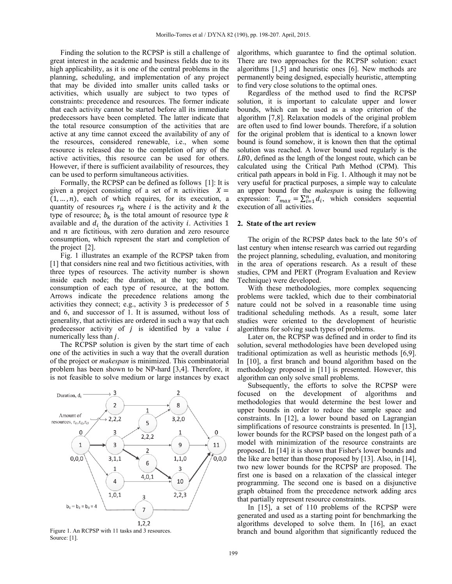Finding the solution to the RCPSP is still a challenge of great interest in the academic and business fields due to its high applicability, as it is one of the central problems in the planning, scheduling, and implementation of any project that may be divided into smaller units called tasks or activities, which usually are subject to two types of constraints: precedence and resources. The former indicate that each activity cannot be started before all its immediate predecessors have been completed. The latter indicate that the total resource consumption of the activities that are active at any time cannot exceed the availability of any of the resources, considered renewable, i.e., when some resource is released due to the completion of any of the active activities, this resource can be used for others. However, if there is sufficient availability of resources, they can be used to perform simultaneous activities.

Formally, the RCPSP can be defined as follows [1]: It is given a project consisting of a set of *n* activities  $X =$  $(1, \ldots, n)$ , each of which requires, for its execution, a quantity of resources  $r_{ik}$  where *i* is the activity and *k* the type of resource;  $b_k$  is the total amount of resource type k available and  $d_i$  the duration of the activity *i*. Activities 1 and  $n$  are fictitious, with zero duration and zero resource consumption, which represent the start and completion of the project [2].

Fig. 1 illustrates an example of the RCPSP taken from [1] that considers nine real and two fictitious activities, with three types of resources. The activity number is shown inside each node; the duration, at the top; and the consumption of each type of resource, at the bottom. Arrows indicate the precedence relations among the activities they connect; e.g., activity 3 is predecessor of 5 and 6, and successor of 1. It is assumed, without loss of generality, that activities are ordered in such a way that each predecessor activity of  $j$  is identified by a value  $i$ numerically less than *j*.

The RCPSP solution is given by the start time of each one of the activities in such a way that the overall duration of the project or *makespan* is minimized. This combinatorial problem has been shown to be NP-hard [3,4]. Therefore, it is not feasible to solve medium or large instances by exact



Figure 1. An RCPSP with 11 tasks and 3 resources. Source: [1].

algorithms, which guarantee to find the optimal solution. There are two approaches for the RCPSP solution: exact algorithms [1,5] and heuristic ones [6]. New methods are permanently being designed, especially heuristic, attempting to find very close solutions to the optimal ones.

Regardless of the method used to find the RCPSP solution, it is important to calculate upper and lower bounds, which can be used as a stop criterion of the algorithm [7,8]. Relaxation models of the original problem are often used to find lower bounds. Therefore, if a solution for the original problem that is identical to a known lower bound is found somehow, it is known then that the optimal solution was reached. A lower bound used regularly is the LB0, defined as the length of the longest route, which can be calculated using the Critical Path Method (CPM). This critical path appears in bold in Fig. 1. Although it may not be very useful for practical purposes, a simple way to calculate an upper bound for the *makespan* is using the following expression:  $T_{max} = \sum_{i=1}^{n} d_i$ , which considers sequential execution of all activities.

# **2. State of the art review**

The origin of the RCPSP dates back to the late 50's of last century when intense research was carried out regarding the project planning, scheduling, evaluation, and monitoring in the area of operations research. As a result of these studies, CPM and PERT (Program Evaluation and Review Technique) were developed.

With these methodologies, more complex sequencing problems were tackled, which due to their combinatorial nature could not be solved in a reasonable time using traditional scheduling methods. As a result, some later studies were oriented to the development of heuristic algorithms for solving such types of problems.

Later on, the RCPSP was defined and in order to find its solution, several methodologies have been developed using traditional optimization as well as heuristic methods [6,9]. In [10], a first branch and bound algorithm based on the methodology proposed in [11] is presented. However, this algorithm can only solve small problems.

Subsequently, the efforts to solve the RCPSP were focused on the development of algorithms and methodologies that would determine the best lower and upper bounds in order to reduce the sample space and constraints. In [12], a lower bound based on Lagrangian simplifications of resource constraints is presented. In [13], lower bounds for the RCPSP based on the longest path of a model with minimization of the resource constraints are proposed. In [14] it is shown that Fisher's lower bounds and the like are better than those proposed by [13]. Also, in [14], two new lower bounds for the RCPSP are proposed. The first one is based on a relaxation of the classical integer programming. The second one is based on a disjunctive graph obtained from the precedence network adding arcs that partially represent resource constraints.

In [15], a set of 110 problems of the RCPSP were generated and used as a starting point for benchmarking the algorithms developed to solve them. In [16], an exact branch and bound algorithm that significantly reduced the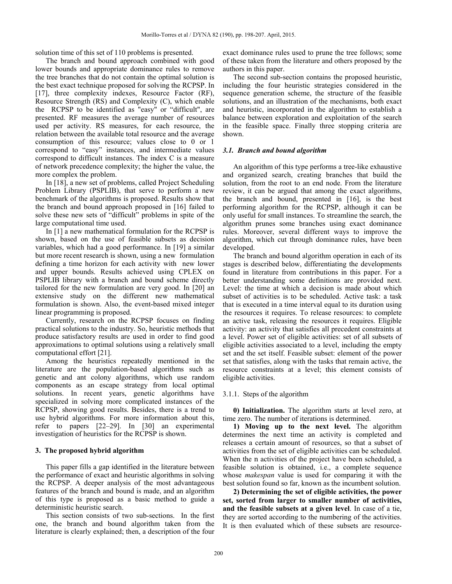solution time of this set of 110 problems is presented.

The branch and bound approach combined with good lower bounds and appropriate dominance rules to remove the tree branches that do not contain the optimal solution is the best exact technique proposed for solving the RCPSP. In [17], three complexity indexes, Resource Factor (RF), Resource Strength (RS) and Complexity (C), which enable the RCPSP to be identified as "easy" or "difficult", are presented. RF measures the average number of resources used per activity. RS measures, for each resource, the relation between the available total resource and the average consumption of this resource; values close to 0 or 1 correspond to "easy" instances, and intermediate values correspond to difficult instances. The index C is a measure of network precedence complexity; the higher the value, the more complex the problem.

In [18], a new set of problems, called Project Scheduling Problem Library (PSPLIB), that serve to perform a new benchmark of the algorithms is proposed. Results show that the branch and bound approach proposed in [16] failed to solve these new sets of "difficult" problems in spite of the large computational time used.

In [1] a new mathematical formulation for the RCPSP is shown, based on the use of feasible subsets as decision variables, which had a good performance. In [19] a similar but more recent research is shown, using a new formulation defining a time horizon for each activity with new lower and upper bounds. Results achieved using CPLEX on PSPLIB library with a branch and bound scheme directly tailored for the new formulation are very good. In [20] an extensive study on the different new mathematical formulation is shown. Also, the event-based mixed integer linear programming is proposed.

Currently, research on the RCPSP focuses on finding practical solutions to the industry. So, heuristic methods that produce satisfactory results are used in order to find good approximations to optimal solutions using a relatively small computational effort [21].

Among the heuristics repeatedly mentioned in the literature are the population-based algorithms such as genetic and ant colony algorithms, which use random components as an escape strategy from local optimal solutions. In recent years, genetic algorithms have specialized in solving more complicated instances of the RCPSP, showing good results. Besides, there is a trend to use hybrid algorithms. For more information about this, refer to papers [22–29]. In [30] an experimental investigation of heuristics for the RCPSP is shown.

### **3. The proposed hybrid algorithm**

This paper fills a gap identified in the literature between the performance of exact and heuristic algorithms in solving the RCPSP. A deeper analysis of the most advantageous features of the branch and bound is made, and an algorithm of this type is proposed as a basic method to guide a deterministic heuristic search.

This section consists of two sub-sections. In the first one, the branch and bound algorithm taken from the literature is clearly explained; then, a description of the four exact dominance rules used to prune the tree follows; some of these taken from the literature and others proposed by the authors in this paper.

The second sub-section contains the proposed heuristic, including the four heuristic strategies considered in the sequence generation scheme, the structure of the feasible solutions, and an illustration of the mechanisms, both exact and heuristic, incorporated in the algorithm to establish a balance between exploration and exploitation of the search in the feasible space. Finally three stopping criteria are shown.

### *3.1. Branch and bound algorithm*

An algorithm of this type performs a tree-like exhaustive and organized search, creating branches that build the solution, from the root to an end node. From the literature review, it can be argued that among the exact algorithms, the branch and bound, presented in [16], is the best performing algorithm for the RCPSP, although it can be only useful for small instances. To streamline the search, the algorithm prunes some branches using exact dominance rules. Moreover, several different ways to improve the algorithm, which cut through dominance rules, have been developed.

The branch and bound algorithm operation in each of its stages is described below, differentiating the developments found in literature from contributions in this paper. For a better understanding some definitions are provided next. Level: the time at which a decision is made about which subset of activities is to be scheduled. Active task: a task that is executed in a time interval equal to its duration using the resources it requires. To release resources: to complete an active task, releasing the resources it requires. Eligible activity: an activity that satisfies all precedent constraints at a level. Power set of eligible activities: set of all subsets of eligible activities associated to a level, including the empty set and the set itself. Feasible subset: element of the power set that satisfies, along with the tasks that remain active, the resource constraints at a level; this element consists of eligible activities.

#### 3.1.1. Steps of the algorithm

**0) Initialization.** The algorithm starts at level zero, at time zero. The number of iterations is determined.

**1) Moving up to the next level.** The algorithm determines the next time an activity is completed and releases a certain amount of resources, so that a subset of activities from the set of eligible activities can be scheduled. When the n activities of the project have been scheduled, a feasible solution is obtained, i.e., a complete sequence whose *makespan* value is used for comparing it with the best solution found so far, known as the incumbent solution.

**2) Determining the set of eligible activities, the power set, sorted from larger to smaller number of activities, and the feasible subsets at a given level**. In case of a tie, they are sorted according to the numbering of the activities. It is then evaluated which of these subsets are resource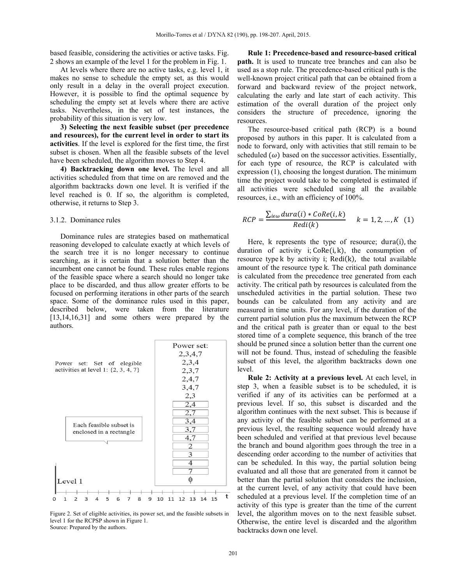based feasible, considering the activities or active tasks. Fig. 2 shows an example of the level 1 for the problem in Fig. 1.

At levels where there are no active tasks, e.g. level 1, it makes no sense to schedule the empty set, as this would only result in a delay in the overall project execution. However, it is possible to find the optimal sequence by scheduling the empty set at levels where there are active tasks. Nevertheless, in the set of test instances, the probability of this situation is very low.

**3) Selecting the next feasible subset (per precedence and resources), for the current level in order to start its activities**. If the level is explored for the first time, the first subset is chosen. When all the feasible subsets of the level have been scheduled, the algorithm moves to Step 4.

**4) Backtracking down one level.** The level and all activities scheduled from that time on are removed and the algorithm backtracks down one level. It is verified if the level reached is 0. If so, the algorithm is completed, otherwise, it returns to Step 3.

#### 3.1.2. Dominance rules

Dominance rules are strategies based on mathematical reasoning developed to calculate exactly at which levels of the search tree it is no longer necessary to continue searching, as it is certain that a solution better than the incumbent one cannot be found. These rules enable regions of the feasible space where a search should no longer take place to be discarded, and thus allow greater efforts to be focused on performing iterations in other parts of the search space. Some of the dominance rules used in this paper, described below, were taken from the literature [13,14,16,31] and some others were prepared by the authors.



Figure 2. Set of eligible activities, its power set, and the feasible subsets in level 1 for the RCPSP shown in Figure 1. Source: Prepared by the authors.

**Rule 1: Precedence-based and resource-based critical path.** It is used to truncate tree branches and can also be used as a stop rule. The precedence-based critical path is the well-known project critical path that can be obtained from a forward and backward review of the project network, calculating the early and late start of each activity. This estimation of the overall duration of the project only considers the structure of precedence, ignoring the resources.

The resource-based critical path (RCP) is a bound proposed by authors in this paper. It is calculated from a node to forward, only with activities that still remain to be scheduled  $(\omega)$  based on the successor activities. Essentially, for each type of resource, the RCP is calculated with expression (1), choosing the longest duration. The minimum time the project would take to be completed is estimated if all activities were scheduled using all the available resources, i.e., with an efficiency of 100%.

$$
RCP = \frac{\sum_{i \in \omega} dura(i) * CoRe(i, k)}{Redi(k)} \qquad k = 1, 2, ..., K \quad (1)
$$

Here, k represents the type of resource; dura $(i)$ , the duration of activity i;  $CoRe(i, k)$ , the consumption of resource type  $k$  by activity i; Redi $(k)$ , the total available amount of the resource type k. The critical path dominance is calculated from the precedence tree generated from each activity. The critical path by resources is calculated from the unscheduled activities in the partial solution. These two bounds can be calculated from any activity and are measured in time units. For any level, if the duration of the current partial solution plus the maximum between the RCP and the critical path is greater than or equal to the best stored time of a complete sequence, this branch of the tree should be pruned since a solution better than the current one will not be found. Thus, instead of scheduling the feasible subset of this level, the algorithm backtracks down one level.

**Rule 2: Activity at a previous level.** At each level, in step 3, when a feasible subset is to be scheduled, it is verified if any of its activities can be performed at a previous level. If so, this subset is discarded and the algorithm continues with the next subset. This is because if any activity of the feasible subset can be performed at a previous level, the resulting sequence would already have been scheduled and verified at that previous level because the branch and bound algorithm goes through the tree in a descending order according to the number of activities that can be scheduled. In this way, the partial solution being evaluated and all those that are generated from it cannot be better than the partial solution that considers the inclusion, at the current level, of any activity that could have been scheduled at a previous level. If the completion time of an activity of this type is greater than the time of the current level, the algorithm moves on to the next feasible subset. Otherwise, the entire level is discarded and the algorithm backtracks down one level.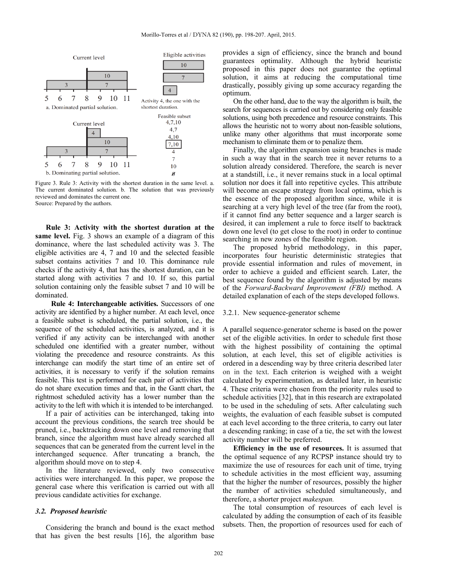

Figure 3. Rule 3: Activity with the shortest duration in the same level. a. The current dominated solution. b. The solution that was previously reviewed and dominates the current one. Source: Prepared by the authors.

**Rule 3: Activity with the shortest duration at the same level.** Fig. 3 shows an example of a diagram of this dominance, where the last scheduled activity was 3. The eligible activities are 4, 7 and 10 and the selected feasible subset contains activities 7 and 10. This dominance rule checks if the activity 4, that has the shortest duration, can be started along with activities 7 and 10. If so, this partial solution containing only the feasible subset 7 and 10 will be dominated.

**Rule 4: Interchangeable activities.** Successors of one activity are identified by a higher number. At each level, once a feasible subset is scheduled, the partial solution, i.e., the sequence of the scheduled activities, is analyzed, and it is verified if any activity can be interchanged with another scheduled one identified with a greater number, without violating the precedence and resource constraints. As this interchange can modify the start time of an entire set of activities, it is necessary to verify if the solution remains feasible. This test is performed for each pair of activities that do not share execution times and that, in the Gantt chart, the rightmost scheduled activity has a lower number than the activity to the left with which it is intended to be interchanged.

If a pair of activities can be interchanged, taking into account the previous conditions, the search tree should be pruned, i.e., backtracking down one level and removing that branch, since the algorithm must have already searched all sequences that can be generated from the current level in the interchanged sequence. After truncating a branch, the algorithm should move on to step 4.

In the literature reviewed, only two consecutive activities were interchanged. In this paper, we propose the general case where this verification is carried out with all previous candidate activities for exchange.

# *3.2. Proposed heuristic*

Considering the branch and bound is the exact method that has given the best results [16], the algorithm base provides a sign of efficiency, since the branch and bound guarantees optimality. Although the hybrid heuristic proposed in this paper does not guarantee the optimal solution, it aims at reducing the computational time drastically, possibly giving up some accuracy regarding the optimum.

On the other hand, due to the way the algorithm is built, the search for sequences is carried out by considering only feasible solutions, using both precedence and resource constraints. This allows the heuristic not to worry about non-feasible solutions, unlike many other algorithms that must incorporate some mechanism to eliminate them or to penalize them.

Finally, the algorithm expansion using branches is made in such a way that in the search tree it never returns to a solution already considered. Therefore, the search is never at a standstill, i.e., it never remains stuck in a local optimal solution nor does it fall into repetitive cycles. This attribute will become an escape strategy from local optima, which is the essence of the proposed algorithm since, while it is searching at a very high level of the tree (far from the root), if it cannot find any better sequence and a larger search is desired, it can implement a rule to force itself to backtrack down one level (to get close to the root) in order to continue searching in new zones of the feasible region.

The proposed hybrid methodology, in this paper, incorporates four heuristic deterministic strategies that provide essential information and rules of movement, in order to achieve a guided and efficient search. Later, the best sequence found by the algorithm is adjusted by means of the *Forward-Backward Improvement (FBI)* method. A detailed explanation of each of the steps developed follows.

#### 3.2.1. New sequence-generator scheme

A parallel sequence-generator scheme is based on the power set of the eligible activities. In order to schedule first those with the highest possibility of containing the optimal solution, at each level, this set of eligible activities is ordered in a descending way by three criteria described later on in the text. Each criterion is weighed with a weight calculated by experimentation, as detailed later, in heuristic 4. These criteria were chosen from the priority rules used to schedule activities [32], that in this research are extrapolated to be used in the scheduling of sets. After calculating such weights, the evaluation of each feasible subset is computed at each level according to the three criteria, to carry out later a descending ranking; in case of a tie, the set with the lowest activity number will be preferred.

**Efficiency in the use of resources.** It is assumed that the optimal sequence of any RCPSP instance should try to maximize the use of resources for each unit of time, trying to schedule activities in the most efficient way, assuming that the higher the number of resources, possibly the higher the number of activities scheduled simultaneously, and therefore, a shorter project *makespan.* 

The total consumption of resources of each level is calculated by adding the consumption of each of its feasible subsets. Then, the proportion of resources used for each of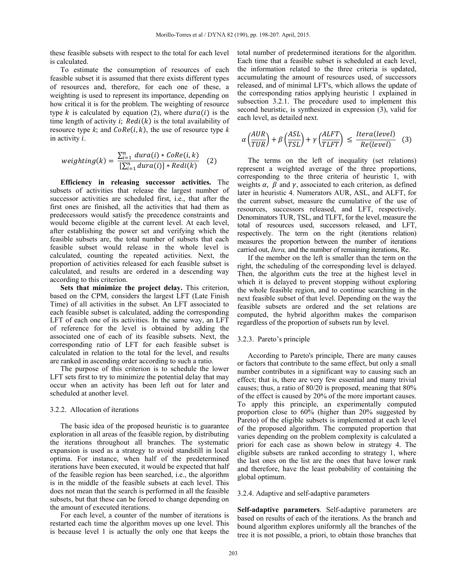these feasible subsets with respect to the total for each level is calculated.

To estimate the consumption of resources of each feasible subset it is assumed that there exists different types of resources and, therefore, for each one of these, a weighting is used to represent its importance, depending on how critical it is for the problem. The weighting of resource type k is calculated by equation (2), where  $dur\alpha(i)$  is the time length of activity  $i$ ;  $Redi(k)$  is the total availability of resource type  $k$ ; and  $CoRe(i, k)$ , the use of resource type  $k$ in activity  $i$ .

$$
weighting(k) = \frac{\sum_{i=1}^{n} dura(i) * CoRe(i, k)}{\left[\sum_{i=1}^{n} dura(i)\right] * Redi(k)} \quad (2)
$$

**Efficiency in releasing successor activities.** The subsets of activities that release the largest number of successor activities are scheduled first, i.e., that after the first ones are finished, all the activities that had them as predecessors would satisfy the precedence constraints and would become eligible at the current level. At each level, after establishing the power set and verifying which the feasible subsets are, the total number of subsets that each feasible subset would release in the whole level is calculated, counting the repeated activities. Next, the proportion of activities released for each feasible subset is calculated, and results are ordered in a descending way according to this criterion.

**Sets that minimize the project delay.** This criterion, based on the CPM, considers the largest LFT (Late Finish Time) of all activities in the subset. An LFT associated to each feasible subset is calculated, adding the corresponding LFT of each one of its activities. In the same way, an LFT of reference for the level is obtained by adding the associated one of each of its feasible subsets. Next, the corresponding ratio of LFT for each feasible subset is calculated in relation to the total for the level, and results are ranked in ascending order according to such a ratio.

The purpose of this criterion is to schedule the lower LFT sets first to try to minimize the potential delay that may occur when an activity has been left out for later and scheduled at another level.

# 3.2.2. Allocation of iterations

The basic idea of the proposed heuristic is to guarantee exploration in all areas of the feasible region, by distributing the iterations throughout all branches. The systematic expansion is used as a strategy to avoid standstill in local optima. For instance, when half of the predetermined iterations have been executed, it would be expected that half of the feasible region has been searched, i.e., the algorithm is in the middle of the feasible subsets at each level. This does not mean that the search is performed in all the feasible subsets, but that these can be forced to change depending on the amount of executed iterations.

For each level, a counter of the number of iterations is restarted each time the algorithm moves up one level. This is because level 1 is actually the only one that keeps the total number of predetermined iterations for the algorithm. Each time that a feasible subset is scheduled at each level, the information related to the three criteria is updated, accumulating the amount of resources used, of successors released, and of minimal LFT's, which allows the update of the corresponding ratios applying heuristic 1 explained in subsection 3.2.1. The procedure used to implement this second heuristic, is synthesized in expression (3), valid for each level, as detailed next.

$$
\alpha \left( \frac{AUR}{TUR} \right) + \beta \left( \frac{ASL}{TSL} \right) + \gamma \left( \frac{ALFT}{TLFT} \right) \le \frac{Iteral(level)}{Re(level)} \tag{3}
$$

The terms on the left of inequality (set relations) represent a weighted average of the three proportions, corresponding to the three criteria of heuristic 1, with weights  $\alpha$ ,  $\beta$  and  $\gamma$ , associated to each criterion, as defined later in heuristic 4. Numerators AUR, ASL, and ALFT, for the current subset, measure the cumulative of the use of resources, successors released, and LFT, respectively. Denominators TUR, TSL, and TLFT, for the level, measure the total of resources used, successors released, and LFT, respectively. The term on the right (iterations relation) measures the proportion between the number of iterations carried out, *Itera,* and the number of remaining iterations, Re.

If the member on the left is smaller than the term on the right, the scheduling of the corresponding level is delayed. Then, the algorithm cuts the tree at the highest level in which it is delayed to prevent stopping without exploring the whole feasible region, and to continue searching in the next feasible subset of that level. Depending on the way the feasible subsets are ordered and the set relations are computed, the hybrid algorithm makes the comparison regardless of the proportion of subsets run by level.

### 3.2.3. Pareto's principle

According to Pareto's principle, There are many causes or factors that contribute to the same effect, but only a small number contributes in a significant way to causing such an effect; that is, there are very few essential and many trivial causes; thus, a ratio of 80/20 is proposed, meaning that 80% of the effect is caused by 20% of the more important causes. To apply this principle, an experimentally computed proportion close to 60% (higher than 20% suggested by Pareto) of the eligible subsets is implemented at each level of the proposed algorithm. The computed proportion that varies depending on the problem complexity is calculated a priori for each case as shown below in strategy 4. The eligible subsets are ranked according to strategy 1, where the last ones on the list are the ones that have lower rank and therefore, have the least probability of containing the global optimum.

#### 3.2.4. Adaptive and self-adaptive parameters

**Self-adaptive parameters**. Self-adaptive parameters are based on results of each of the iterations. As the branch and bound algorithm explores uniformly all the branches of the tree it is not possible, a priori, to obtain those branches that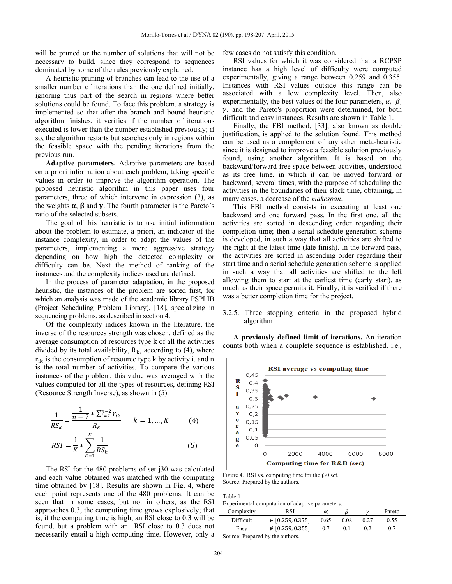will be pruned or the number of solutions that will not be necessary to build, since they correspond to sequences dominated by some of the rules previously explained.

A heuristic pruning of branches can lead to the use of a smaller number of iterations than the one defined initially, ignoring thus part of the search in regions where better solutions could be found. To face this problem, a strategy is implemented so that after the branch and bound heuristic algorithm finishes, it verifies if the number of iterations executed is lower than the number established previously; if so, the algorithm restarts but searches only in regions within the feasible space with the pending iterations from the previous run.

**Adaptive parameters.** Adaptive parameters are based on a priori information about each problem, taking specific values in order to improve the algorithm operation. The proposed heuristic algorithm in this paper uses four parameters, three of which intervene in expression (3), as the weights  $\alpha$ ,  $\beta$  and  $\gamma$ . The fourth parameter is the Pareto's ratio of the selected subsets.

The goal of this heuristic is to use initial information about the problem to estimate, a priori, an indicator of the instance complexity, in order to adapt the values of the parameters, implementing a more aggressive strategy depending on how high the detected complexity or difficulty can be. Next the method of ranking of the instances and the complexity indices used are defined.

In the process of parameter adaptation, in the proposed heuristic, the instances of the problem are sorted first, for which an analysis was made of the academic library PSPLIB (Project Scheduling Problem Library), [18], specializing in sequencing problems, as described in section 4.

Of the complexity indices known in the literature, the inverse of the resources strength was chosen, defined as the average consumption of resources type k of all the activities divided by its total availability,  $R_k$ , according to (4), where  $r_{ik}$  is the consumption of resource type k by activity i, and n is the total number of activities. To compare the various instances of the problem, this value was averaged with the values computed for all the types of resources, defining RSI (Resource Strength Inverse), as shown in (5).

$$
\frac{1}{RS_k} = \frac{\frac{1}{n-2} * \sum_{i=2}^{n-2} r_{ik}}{R_k} \qquad k = 1, ..., K \qquad (4)
$$
  

$$
RSI = \frac{1}{K} * \sum_{k=1}^{K} \frac{1}{RS_k} \qquad (5)
$$

The RSI for the 480 problems of set j30 was calculated and each value obtained was matched with the computing time obtained by [18]. Results are shown in Fig. 4, where each point represents one of the 480 problems. It can be seen that in some cases, but not in others, as the RSI approaches 0.3, the computing time grows explosively; that is, if the computing time is high, an RSI close to 0.3 will be found, but a problem with an RSI close to 0.3 does not necessarily entail a high computing time. However, only a few cases do not satisfy this condition.

RSI values for which it was considered that a RCPSP instance has a high level of difficulty were computed experimentally, giving a range between 0.259 and 0.355. Instances with RSI values outside this range can be associated with a low complexity level. Then, also experimentally, the best values of the four parameters,  $\alpha$ ,  $\beta$ ,  $\gamma$ , and the Pareto's proportion were determined, for both difficult and easy instances. Results are shown in Table 1.

Finally, the FBI method, [33], also known as double justification, is applied to the solution found. This method can be used as a complement of any other meta-heuristic since it is designed to improve a feasible solution previously found, using another algorithm. It is based on the backward/forward free space between activities, understood as its free time, in which it can be moved forward or backward, several times, with the purpose of scheduling the activities in the boundaries of their slack time, obtaining, in many cases, a decrease of the *makespan*.

This FBI method consists in executing at least one backward and one forward pass. In the first one, all the activities are sorted in descending order regarding their completion time; then a serial schedule generation scheme is developed, in such a way that all activities are shifted to the right at the latest time (late finish). In the forward pass, the activities are sorted in ascending order regarding their start time and a serial schedule generation scheme is applied in such a way that all activities are shifted to the left allowing them to start at the earliest time (early start), as much as their space permits it. Finally, it is verified if there was a better completion time for the project.

# 3.2.5. Three stopping criteria in the proposed hybrid algorithm

**A previously defined limit of iterations.** An iteration counts both when a complete sequence is established, i.e.,



Figure 4. RSI vs. computing time for the j30 set. Source: Prepared by the authors.

Table 1

Experimental computation of adaptive parameters.

| $\mathcal{L}_{i}$ |              |                      |  |              |     |        |
|-------------------|--------------|----------------------|--|--------------|-----|--------|
|                   | Complexity   | RSI                  |  |              |     | Pareto |
|                   | Difficult    | $\in$ [0.259, 0.355] |  | 0.08<br>0.65 |     | 0.55   |
|                   | Easy         | ∉ [0.259, 0.355]     |  |              | 0.2 |        |
| $\sim$            | $\mathbf{r}$ | $\sim$               |  |              |     |        |

Source: Prepared by the authors.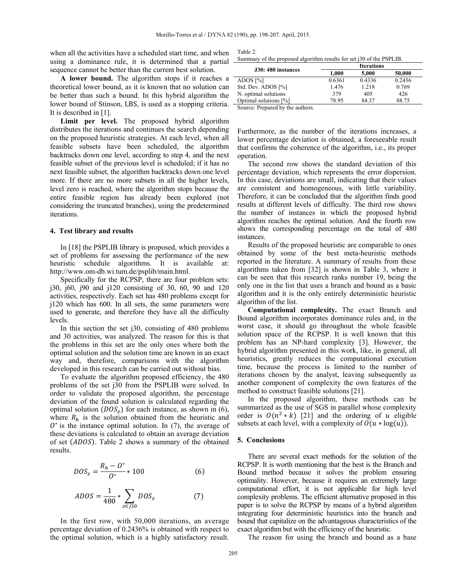when all the activities have a scheduled start time, and when using a dominance rule, it is determined that a partial sequence cannot be better than the current best solution.

**A lower bound.** The algorithm stops if it reaches a theoretical lower bound, as it is known that no solution can be better than such a bound. In this hybrid algorithm the lower bound of Stinson, LBS, is used as a stopping criteria. -It is described in [1].

**Limit per level.** The proposed hybrid algorithm distributes the iterations and continues the search depending on the proposed heuristic strategies. At each level, when all feasible subsets have been scheduled, the algorithm backtracks down one level, according to step 4, and the next feasible subset of the previous level is scheduled; if it has no next feasible subset, the algorithm backtracks down one level more. If there are no more subsets in all the higher levels, level zero is reached, where the algorithm stops because the entire feasible region has already been explored (not considering the truncated branches), using the predetermined iterations.

## **4. Test library and results**

In [18] the PSPLIB library is proposed, which provides a set of problems for assessing the performance of the new heuristic schedule algorithms. It is available at: http://www.om-db.wi.tum.de/psplib/main.html.

Specifically for the RCPSP, there are four problem sets: j30, j60, j90 and j120 consisting of 30, 60, 90 and 120 activities, respectively. Each set has 480 problems except for j120 which has 600. In all sets, the same parameters were used to generate, and therefore they have all the difficulty levels.

In this section the set j30, consisting of 480 problems and 30 activities, was analyzed. The reason for this is that the problems in this set are the only ones where both the optimal solution and the solution time are known in an exact way and, therefore, comparisons with the algorithm developed in this research can be carried out without bias.

To evaluate the algorithm proposed efficiency, the 480 problems of the set j30 from the PSPLIB were solved. In order to validate the proposed algorithm, the percentage deviation of the found solution is calculated regarding the optimal solution  $(DOS<sub>z</sub>)$  for each instance, as shown in (6), where  $R_h$  is the solution obtained from the heuristic and  $O<sup>*</sup>$  is the instance optimal solution. In (7), the average of these deviations is calculated to obtain an average deviation of set (ADOS). Table 2 shows a summary of the obtained results.

$$
DOS_z = \frac{R_h - O^*}{O^*} * 100\tag{6}
$$

$$
ADOS = \frac{1}{480} * \sum_{z \in j30} DOS_z \tag{7}
$$

In the first row, with 50,000 iterations, an average percentage deviation of 0.2436% is obtained with respect to the optimal solution, which is a highly satisfactory result.

Table 2. Summary of the proposed algorithm results for set j30 of the PSPLIB.

| J30: 480 instances                 |        | <b>Iterations</b> |        |  |
|------------------------------------|--------|-------------------|--------|--|
|                                    | 1.000  | 5,000             | 50,000 |  |
| ADOS $[\%]$                        | 0.6361 | 0.4336            | 0.2436 |  |
| Std. Dev. ADOS [%]                 | 1.476  | 1.218             | 0.769  |  |
| N. optimal solutions               | 379    | 405               | 426    |  |
| Optimal solutions [%]              | 78.95  | 84.37             | 88.75  |  |
| Correct Descend Louis and contract |        |                   |        |  |

Source: Prepared by the authors.

Furthermore, as the number of the iterations increases, a lower percentage deviation is obtained, a foreseeable result that confirms the coherence of the algorithm, i.e., its proper operation.

The second row shows the standard deviation of this percentage deviation, which represents the error dispersion. In this case, deviations are small, indicating that their values are consistent and homogeneous, with little variability. Therefore, it can be concluded that the algorithm finds good results at different levels of difficulty. The third row shows the number of instances in which the proposed hybrid algorithm reaches the optimal solution. And the fourth row shows the corresponding percentage on the total of 480 instances.

Results of the proposed heuristic are comparable to ones obtained by some of the best meta-heuristic methods reported in the literature. A summary of results from these algorithms taken from [32] is shown in Table 3, where it can be seen that this research ranks number 19, being the only one in the list that uses a branch and bound as a basic algorithm and it is the only entirely deterministic heuristic algorithm of the list.

**Computational complexity.** The exact Branch and Bound algorithm incorporates dominance rules and, in the worst case, it should go throughout the whole feasible solution space of the RCPSP. It is well known that this problem has an NP-hard complexity [3]. However, the hybrid algorithm presented in this work, like, in general, all heuristics, greatly reduces the computational execution time, because the process is limited to the number of iterations chosen by the analyst, leaving subsequently as another component of complexity the own features of the method to construct feasible solutions [21].

In the proposed algorithm, these methods can be summarized as the use of SGS in parallel whose complexity order is  $O(n^2 * k)$  [21] and the ordering of u eligible subsets at each level, with a complexity of  $O(u * log(u))$ .

### **5. Conclusions**

There are several exact methods for the solution of the RCPSP. It is worth mentioning that the best is the Branch and Bound method because it solves the problem ensuring optimality. However, because it requires an extremely large computational effort, it is not applicable for high level complexity problems. The efficient alternative proposed in this paper is to solve the RCPSP by means of a hybrid algorithm integrating four deterministic heuristics into the branch and bound that capitalize on the advantageous characteristics of the exact algorithm but with the efficiency of the heuristic.

The reason for using the branch and bound as a base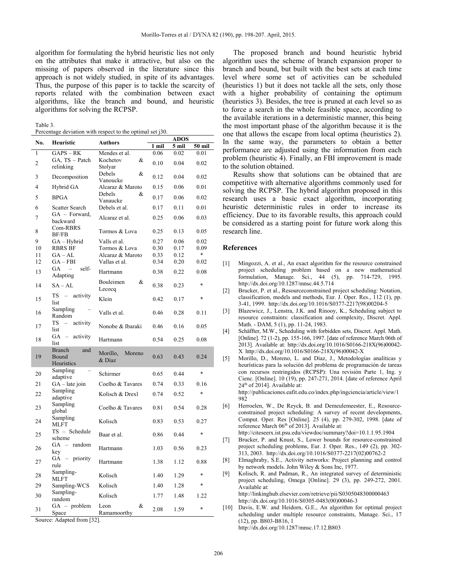algorithm for formulating the hybrid heuristic lies not only on the attributes that make it attractive, but also on the missing of papers observed in the literature since this approach is not widely studied, in spite of its advantages. Thus, the purpose of this paper is to tackle the scarcity of reports related with the combination between exact algorithms, like the branch and bound, and heuristic algorithms for solving the RCPSP.

| anie |
|------|
|------|

| Percentage deviation with respect to the optimal set j30. |  |  |  |
|-----------------------------------------------------------|--|--|--|
|                                                           |  |  |  |

|     |                                            |                    | ADOS  |       |        |  |
|-----|--------------------------------------------|--------------------|-------|-------|--------|--|
| No. | Heuristic                                  | <b>Authors</b>     | 1 mil | 5 mil | 50 mil |  |
| 1   | $\overline{GAPS} - RK$                     | Mendes et al.      | 0.06  | 0.02  | 0.01   |  |
|     | GA, TS - Patch                             | Kochetov<br>&      |       |       |        |  |
| 2   | relinking                                  | Stolyar            | 0.10  | 0.04  | 0.02   |  |
|     |                                            | Debels<br>&        |       |       |        |  |
| 3   | Decomposition                              |                    | 0.12  | 0.04  | 0.02   |  |
| 4   |                                            | Vanoucke           |       |       |        |  |
|     | Hybrid GA                                  | Alcaraz & Maroto   | 0.15  | 0.06  | 0.01   |  |
| 5   | <b>BPGA</b>                                | Debels<br>&        | 0.17  | 0.06  | 0.02   |  |
|     |                                            | Vanaucke           |       |       |        |  |
| 6   | Scatter Search                             | Debels et al.      | 0.17  | 0.11  | 0.01   |  |
| 7   | GA - Forward,                              | Alcaraz et al.     | 0.25  | 0.06  | 0.03   |  |
|     | backward                                   |                    |       |       |        |  |
| 8   | Com-RBRS                                   | Tormos & Lova      | 0.25  | 0.13  | 0.05   |  |
|     | BF/FB                                      |                    |       |       |        |  |
| 9   | GA – Hybrid                                | Valls et al.       | 0.27  | 0.06  | 0.02   |  |
| 10  | <b>RBRS BF</b>                             | Tormos & Lova      | 0.30  | 0.17  | 0.09   |  |
| 11  | $GA - AL$                                  | Alcaraz & Maroto   | 0.33  | 0.12  | $\ast$ |  |
| 12  | $GA - FBI$                                 | Vallas et al.      | 0.34  | 0.20  | 0.02   |  |
| 13  | GA<br>self-<br>$\equiv$                    | Hartmann           | 0.38  | 0.22  | 0.08   |  |
|     | Adapting                                   |                    |       |       |        |  |
| 14  | $SA - AL$                                  | Bouleimen<br>&     | 0.38  | 0.23  | $\ast$ |  |
|     |                                            | Lecocq             |       |       |        |  |
| 15  | $TS - activity$                            | Klein              |       |       | $\ast$ |  |
|     | list                                       |                    | 0.42  | 0.17  |        |  |
|     | Sampling                                   |                    |       |       |        |  |
| 16  | Random                                     | Valls et al.       | 0.46  | 0.28  | 0.11   |  |
|     | TS<br>$-$<br>activity                      |                    |       |       |        |  |
| 17  | list                                       | Nonobe & Ibaraki   | 0.46  | 0.16  | 0.05   |  |
|     | $GA -$<br>activity                         |                    |       |       |        |  |
| 18  | list                                       | Hartmann           | 0.54  | 0.25  | 0.08   |  |
|     | <b>Branch</b><br>and                       |                    |       |       |        |  |
| 19  | Bound                                      | Morillo,<br>Moreno | 0.63  | 0.43  | 0.24   |  |
|     | Heuristics                                 | & Díaz             |       |       |        |  |
|     | Sampling                                   |                    |       |       |        |  |
| 20  | adaptive                                   | Schirmer           | 0.65  | 0.44  | $\ast$ |  |
| 21  | $GA - late join$                           | Coelho & Tavares   | 0.74  | 0.33  | 0.16   |  |
|     | Sampling                                   |                    |       |       |        |  |
| 22  | adaptive                                   | Kolisch & Drexl    | 0.74  | 0.52  | $\ast$ |  |
|     | Sampling                                   |                    |       |       |        |  |
| 23  | global                                     | Coelho & Tavares   | 0.81  | 0.54  | 0.28   |  |
|     | Sampling                                   |                    |       |       |        |  |
| 24  | <b>MLFT</b>                                | Kolisch            | 0.83  | 0.53  | 0.27   |  |
|     | $TS - S$ chedule                           |                    |       |       |        |  |
| 25  |                                            | Baar et al.        | 0.86  | 0.44  | $\ast$ |  |
|     | scheme                                     |                    |       |       |        |  |
| 26  | $GA$ – random                              | Hartmann           | 1.03  | 0.56  | 0.23   |  |
|     | key                                        |                    |       |       |        |  |
| 27  | GA<br>priority<br>$\overline{\phantom{0}}$ | Hartmann           | 1.38  | 1.12  | 0.88   |  |
|     | rule                                       |                    |       |       |        |  |
| 28  | Sampling-                                  | Kolisch            | 1.40  | 1.29  | $\ast$ |  |
|     | MLFT                                       |                    |       |       |        |  |
| 29  | Sampling-WCS                               | Kolisch            | 1.40  | 1.28  | $\ast$ |  |
| 30  | Sampling-                                  | Kolisch            | 1.77  | 1.48  | 1.22   |  |
|     | random                                     |                    |       |       |        |  |
| 31  | $GA - problem$                             | &<br>Leon          | 2.08  | 1.59  | $\ast$ |  |
|     | Space                                      | Ramamoorthy        |       |       |        |  |

Source: Adapted from [32].

The proposed branch and bound heuristic hybrid algorithm uses the scheme of branch expansion proper to branch and bound, but built with the best sets at each time level where some set of activities can be scheduled (heuristics 1) but it does not tackle all the sets, only those with a higher probability of containing the optimum (heuristics 3). Besides, the tree is pruned at each level so as to force a search in the whole feasible space, according to the available iterations in a deterministic manner, this being the most important phase of the algorithm because it is the one that allows the escape from local optima (heuristics 2). In the same way, the parameters to obtain a better performance are adjusted using the information from each problem (heuristic 4). Finally, an FBI improvement is made to the solution obtained.

Results show that solutions can be obtained that are competitive with alternative algorithms commonly used for solving the RCPSP. The hybrid algorithm proposed in this research uses a basic exact algorithm, incorporating heuristic deterministic rules in order to increase its efficiency. Due to its favorable results, this approach could be considered as a starting point for future work along this research line.

# **References**

- [1] Mingozzi, A. et al., An exact algorithm for the resource constrained project scheduling problem based on a new mathematical formulation, Manage. Sci., 44 (5), pp. 714-729, 1995. http://dx.doi.org/10.1287/mnsc.44.5.714
- [2] Brucker, P. et al., Resourceconstrained project scheduling: Notation, classification, models and methods, Eur. J. Oper. Res., 112 (1), pp. 3-41, 1999. http://dx.doi.org/10.1016/S0377-2217(98)00204-5
- [3] Blazewicz, J., Lenstra, J.K. and Rinooy, K., Scheduling subject to resource constraints: classification and complexity, Discret. Appl. Math. - DAM, 5 (1), pp. 11-24, 1983.
- [4] Schäffter, M.W., Scheduling with forbidden sets, Discret. Appl. Math. [Online]. 72 (1-2), pp. 155-166, 1997. [date of reference March 06th of 2013]. Available at: http://dx.doi.org/10.1016/S0166-218X(96)00042- X http://dx.doi.org/10.1016/S0166-218X(96)00042-X
- [5] Morillo, D., Moreno, L. and Díaz, J., Metodologías analíticas y heurísticas para la solución del problema de programación de tareas con recursos restringidos (RCPSP): Una revisión Parte 1, Ing. y Cienc. [Online]. 10 (19), pp. 247-271, 2014. [date of reference April 24<sup>th</sup> of 2014]. Available at:

http://publicaciones.eafit.edu.co/index.php/ingciencia/article/view/1 982

- [6] Herroelen, W., De Reyck, B. and Demeulemeester, E., Resourceconstrained project scheduling: A survey of recent developments, Comput. Oper. Res [Online]. 25 (4), pp. 279-302, 1998. [date of reference March 06<sup>th</sup> of 2013]. Available at:
- http://citeseerx.ist.psu.edu/viewdoc/summary?doi=10.1.1.95.1904 [7] Brucker, P. and Knust, S., Lower bounds for resource-constrained project scheduling problems, Eur. J. Oper. Res., 149 (2), pp. 302-
- 313, 2003. http://dx.doi.org/10.1016/S0377-2217(02)00762-2 [8] Elmaghraby, S.E., Activity networks: Project planning and control by network models. John Wiley & Sons Inc, 1977.
- [9] Kolisch, R. and Padman, R., An integrated survey of deterministic project scheduling, Omega [Online]. 29 (3), pp. 249-272, 2001. Available at:

http://linkinghub.elsevier.com/retrieve/pii/S0305048300000463 http://dx.doi.org/10.1016/S0305-0483(00)00046-3

[10] Davis, E.W. and Heidorn, G.E., An algorithm for optimal project scheduling under multiple resource constraints, Manage. Sci., 17 (12), pp. B803-B816, 1 http://dx.doi.org/10.1287/mnsc.17.12.B803